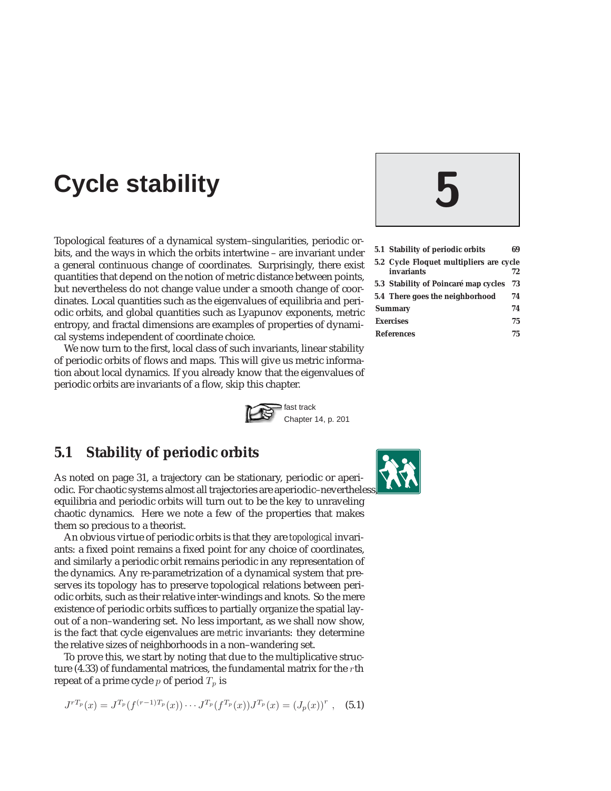# **Cycle stability 5**

Topological features of a dynamical system–singularities, periodic orbits, and the ways in which the orbits intertwine – are invariant under a general continuous change of coordinates. Surprisingly, there exist quantities that depend on the notion of metric distance between points, but nevertheless do not change value under a smooth change of coordinates. Local quantities such as the eigenvalues of equilibria and periodic orbits, and global quantities such as Lyapunov exponents, metric entropy, and fractal dimensions are examples of properties of dynamical systems independent of coordinate choice.

We now turn to the first, local class of such invariants, linear stability of periodic orbits of flows and maps. This will give us metric information about local dynamics. If you already know that the eigenvalues of periodic orbits are invariants of a flow, skip this chapter.



# **5.1 Stability of periodic orbits**

As noted on page 31, a trajectory can be stationary, periodic or aperiodic. For chaotic systems almost all trajectories are aperiodic–nevertheles equilibria and periodic orbits will turn out to be the key to unraveling chaotic dynamics. Here we note a few of the properties that makes them so precious to a theorist.

An obvious virtue of periodic orbits is that they are *topological* invariants: a fixed point remains a fixed point for any choice of coordinates, and similarly a periodic orbit remains periodic in any representation of the dynamics. Any re-parametrization of a dynamical system that preserves its topology has to preserve topological relations between periodic orbits, such as their relative inter-windings and knots. So the mere existence of periodic orbits suffices to partially organize the spatial layout of a non–wandering set. No less important, as we shall now show, is the fact that cycle eigenvalues are *metric* invariants: they determine the relative sizes of neighborhoods in a non–wandering set.

To prove this, we start by noting that due to the multiplicative structure (4.33) of fundamental matrices, the fundamental matrix for the rth repeat of a prime cycle  $p$  of period  $T_p$  is

$$
J^{rT_p}(x) = J^{T_p}(f^{(r-1)T_p}(x)) \cdots J^{T_p}(f^{T_p}(x)) J^{T_p}(x) = (J_p(x))^r , \quad (5.1)
$$



| 5.1 Stability of periodic orbits        | 69 |
|-----------------------------------------|----|
| 5.2 Cycle Floquet multipliers are cycle |    |

- **invariants 72**
- **5.3 Stability of Poincaré map cycles 73**
- **5.4 There goes the neighborhood 74 Summary 74**
- **Exercises 75**
- **References 75**

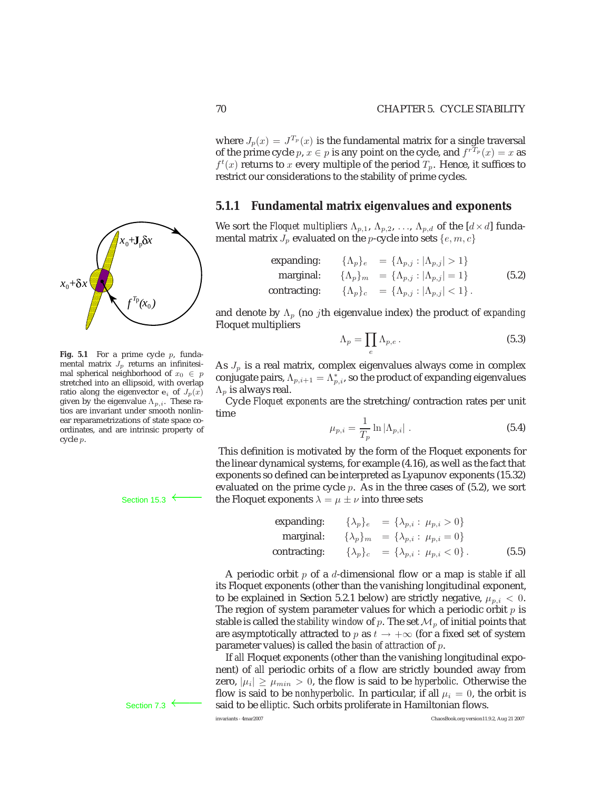where  $J_p(x) = J^{T_p}(x)$  is the fundamental matrix for a single traversal of the prime cycle  $p, x \in p$  is any point on the cycle, and  $f^{rT_p}(x) = x$  as  $f^t(x)$  returns to x every multiple of the period  $T_p$ . Hence, it suffices to restrict our considerations to the stability of prime cycles.

#### **5.1.1 Fundamental matrix eigenvalues and exponents**

We sort the *Floquet multipliers*  $\Lambda_{p,1}$ ,  $\Lambda_{p,2}$ , ...,  $\Lambda_{p,d}$  of the  $[d \times d]$  fundamental matrix  $J_p$  evaluated on the p-cycle into sets  $\{e, m, c\}$ 

expanding: 
$$
\{\Lambda_p\}_e = \{\Lambda_{p,j} : |\Lambda_{p,j}| > 1\}
$$
  
marginal: 
$$
\{\Lambda_p\}_m = \{\Lambda_{p,j} : |\Lambda_{p,j}| = 1\}
$$
 (5.2)  
contracting: 
$$
\{\Lambda_p\}_c = \{\Lambda_{p,j} : |\Lambda_{p,j}| < 1\}.
$$

and denote by Λ<sup>p</sup> (no jth eigenvalue index) the product of *expanding* Floquet multipliers

$$
\Lambda_p = \prod_e \Lambda_{p,e} \,. \tag{5.3}
$$

As  $J_p$  is a real matrix, complex eigenvalues always come in complex conjugate pairs,  $\Lambda_{p,i+1} = \Lambda_{p,i}^*$ , so the product of expanding eigenvalues  $\Lambda_p$  is always real.

Cycle *Floquet exponents* are the stretching/contraction rates per unit time

$$
\mu_{p,i} = \frac{1}{T_p} \ln |\Lambda_{p,i}| \tag{5.4}
$$

This definition is motivated by the form of the Floquet exponents for the linear dynamical systems, for example (4.16), as well as the fact that exponents so defined can be interpreted as Lyapunov exponents (15.32) evaluated on the prime cycle  $p$ . As in the three cases of  $(5.2)$ , we sort Section 15.3 ← the Floquet exponents  $\lambda = \mu \pm \nu$  into three sets

expanding: 
$$
\{\lambda_p\}_e = \{\lambda_{p,i} : \mu_{p,i} > 0\}
$$
  
marginal: 
$$
\{\lambda_p\}_m = \{\lambda_{p,i} : \mu_{p,i} = 0\}
$$
  
contracting: 
$$
\{\lambda_p\}_c = \{\lambda_{p,i} : \mu_{p,i} < 0\}.
$$
 (5.5)

A periodic orbit p of a d-dimensional flow or a map is *stable* if all its Floquet exponents (other than the vanishing longitudinal exponent, to be explained in Section 5.2.1 below) are strictly negative,  $\mu_{p,i} < 0$ . The region of system parameter values for which a periodic orbit  $p$  is stable is called the *stability window* of p. The set  $\mathcal{M}_p$  of initial points that are asymptotically attracted to p as  $t \to +\infty$  (for a fixed set of system parameter values) is called the *basin of attraction* of p.

If *all* Floquet exponents (other than the vanishing longitudinal exponent) of *all* periodic orbits of a flow are strictly bounded away from zero,  $|\mu_i| \ge \mu_{min} > 0$ , the flow is said to be *hyperbolic*. Otherwise the flow is said to be *nonhyperbolic*. In particular, if all  $\mu_i = 0$ , the orbit is Section 7.3 ← said to be *elliptic*. Such orbits proliferate in Hamiltonian flows.<br>
ElaosBook.org version11.



 $\sum_{i=1}^{n}$ 

-8 ----31

3 8 SIL LS

 $\sqrt{\frac{1}{2}}$ 

- $\mathcal{L}$ -8  $\mathcal{L}$ 

- $\epsilon$ --- $\prime$ --------- $\ddot{\mathbf{z}}$  . -**a** --

 $\sqrt{a}$ 

8 ্ৰ  $\mathbb{R}$ **A**  $\mathbf{r}$ 

-- $\sim$  $\mathcal{L}$ -

--- $\mathcal{A}$  $\mathbf{A}$ 

e.<br>S - $\mathbb{Z}$  $\mathbf{r}$ --- $\mathcal{L}$ - $\sqcup$ -1 --8 3 --8 7 - $\mathcal{E}$ 3 --9 --s) -

- 6 s.  $\mathbb{R}^n$ -8 -

-S  $\mathbb{R}^2$ --

- $\epsilon$  $\cdot$ 9 --81 **J** δ

 $x_0 + J_p \delta x$ 

stretched into an ellipsoid, with overlap ratio along the eigenvector  $e_i$  of  $J_p(x)$ given by the eigenvalue  $\Lambda_{p,i}$ . These ratios are invariant under smooth nonlinear reparametrizations of state space coordinates, and are intrinsic property of cycle p.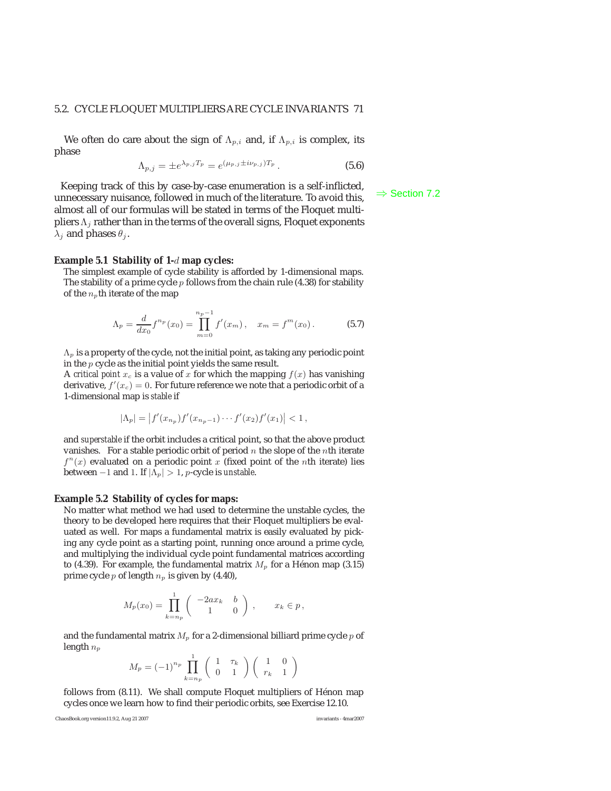#### 5.2. CYCLE FLOQUET MULTIPLIERS ARE CYCLE INVARIANTS 71

We often do care about the sign of  $\Lambda_{p,i}$  and, if  $\Lambda_{p,i}$  is complex, its phase

$$
\Lambda_{p,j} = \pm e^{\lambda_{p,j} T_p} = e^{(\mu_{p,j} \pm i\nu_{p,j}) T_p}.
$$
\n(5.6)

Keeping track of this by case-by-case enumeration is a self-inflicted, unnecessary nuisance, followed in much of the literature. To avoid this,  $\Rightarrow$  Section 7.2 almost all of our formulas will be stated in terms of the Floquet multipliers  $\Lambda_i$  rather than in the terms of the overall signs, Floquet exponents  $\lambda_i$  and phases  $\theta_i$ .

#### **Example 5.1 Stability of 1-**d **map cycles:**

The simplest example of cycle stability is afforded by 1-dimensional maps. The stability of a prime cycle  $p$  follows from the chain rule (4.38) for stability of the  $n_p$ th iterate of the map

$$
\Lambda_p = \frac{d}{dx_0} f^{n_p}(x_0) = \prod_{m=0}^{n_p - 1} f'(x_m), \quad x_m = f^m(x_0).
$$
 (5.7)

 $\Lambda_p$  is a property of the cycle, not the initial point, as taking any periodic point in the p cycle as the initial point yields the same result.

A *critical point*  $x_c$  is a value of x for which the mapping  $f(x)$  has vanishing derivative,  $f'(x_c) = 0$ . For future reference we note that a periodic orbit of a 1-dimensional map is *stable* if 1-dimensional map is *stable* if

$$
|\Lambda_p| = |f'(x_{n_p})f'(x_{n_p-1})\cdots f'(x_2)f'(x_1)| < 1,
$$

and *superstable* if the orbit includes a critical point, so that the above product vanishes. For a stable periodic orbit of period  $n$  the slope of the nth iterate  $f^{n}(x)$  evaluated on a periodic point x (fixed point of the nth iterate) lies between  $-1$  and 1. If  $|\Lambda_p| > 1$ , *p*-cycle is *unstable*.

#### **Example 5.2 Stability of cycles for maps:**

No matter what method we had used to determine the unstable cycles, the theory to be developed here requires that their Floquet multipliers be evaluated as well. For maps a fundamental matrix is easily evaluated by picking any cycle point as a starting point, running once around a prime cycle, and multiplying the individual cycle point fundamental matrices according to (4.39). For example, the fundamental matrix  $M_p$  for a Hénon map (3.15) prime cycle  $p$  of length  $n_p$  is given by (4.40),

$$
M_p(x_0) = \prod_{k=n_p}^1 \begin{pmatrix} -2ax_k & b \\ 1 & 0 \end{pmatrix}, \quad x_k \in p,
$$

and the fundamental matrix  $M_p$  for a 2-dimensional billiard prime cycle  $p$  of length  $n_p$ 

$$
M_p = (-1)^{n_p} \prod_{k=n_p}^{1} \begin{pmatrix} 1 & \tau_k \\ 0 & 1 \end{pmatrix} \begin{pmatrix} 1 & 0 \\ r_k & 1 \end{pmatrix}
$$

follows from (8.11). We shall compute Floquet multipliers of Hénon map cycles once we learn how to find their periodic orbits, see Exercise 12.10.

ChaosBook.org version11.9.2, Aug 21 2007 invariants - 4mar2007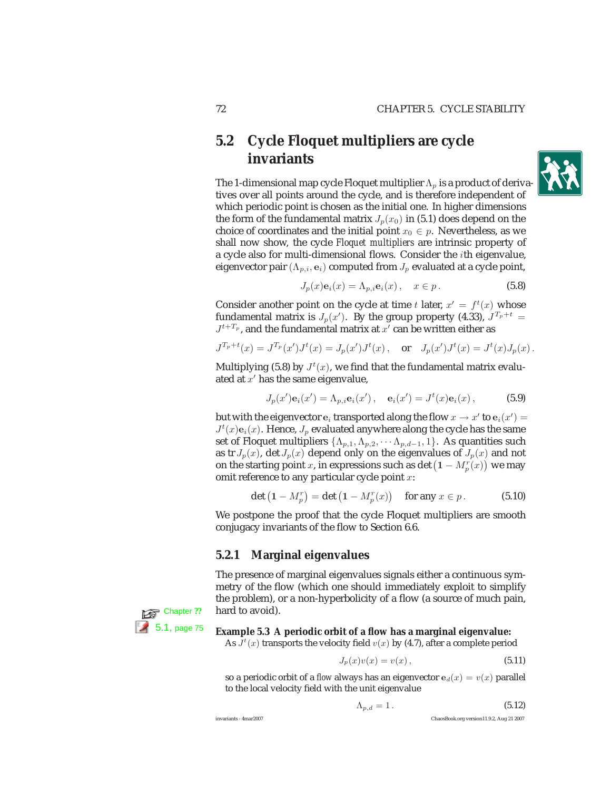# **5.2 Cycle Floquet multipliers are cycle invariants**

The 1-dimensional map cycle Floquet multiplier  $\Lambda_p$  is a product of derivatives over all points around the cycle, and is therefore independent of which periodic point is chosen as the initial one. In higher dimensions the form of the fundamental matrix  $J_p(x_0)$  in (5.1) does depend on the choice of coordinates and the initial point  $x_0 \in p$ . Nevertheless, as we shall now show, the cycle *Floquet multipliers* are intrinsic property of a cycle also for multi-dimensional flows. Consider the ith eigenvalue, eigenvector pair  $(\Lambda_{p,i}, \mathbf{e}_i)$  computed from  $J_p$  evaluated at a cycle point,

$$
J_p(x)\mathbf{e}_i(x) = \Lambda_{p,i}\mathbf{e}_i(x), \quad x \in p.
$$
 (5.8)

Consider another point on the cycle at time t later,  $x' = f<sup>t</sup>(x)$  whose fundamental matrix is  $J_p(x')$ . By the group property (4.33),  $J^{T_p+t}$  =  $J^{t+T_p}$ , and the fundamental matrix at  $x'$  can be written either as

$$
J^{T_p+t}(x)=J^{T_p}(x')J^t(x)=J_p(x')J^t(x)\,,\quad\text{or}\quad J_p(x')J^t(x)=J^t(x)J_p(x)\,.
$$

Multiplying (5.8) by  $J^t(x)$ , we find that the fundamental matrix evaluated at  $x'$  has the same eigenvalue,

$$
J_p(x')\mathbf{e}_i(x') = \Lambda_{p,i}\mathbf{e}_i(x'), \quad \mathbf{e}_i(x') = J^t(x)\mathbf{e}_i(x), \tag{5.9}
$$

but with the eigenvector  $\mathbf{e}_i$  transported along the flow  $x \to x'$  to  $\mathbf{e}_i(x') =$ <br> $I^t(x)\mathbf{e}_i(x')$ . Hence, L evaluated anywhere along the cycle has the same  $J^t(x)$  e<sub>i</sub>(x). Hence,  $J_p$  evaluated anywhere along the cycle has the same<br>set of Floquet multipliers  $J_A$ ,  $A_1$ ,  $A_2$ ,  $A_3$ ,  $A_4$ ,  $A_5$  quantities such set of Floquet multipliers  $\{\Lambda_{p,1}, \Lambda_{p,2}, \cdots \Lambda_{p,d-1}, 1\}$ . As quantities such as tr  $J_p(x)$ , det  $J_p(x)$  depend only on the eigenvalues of  $J_p(x)$  and not on the starting point x, in expressions such as det  $(1 - M_p^r(x))$  we may omit reference to any particular cycle point  $x$ :

$$
\det (1 - M_p^r) = \det (1 - M_p^r(x)) \quad \text{for any } x \in p. \tag{5.10}
$$

We postpone the proof that the cycle Floquet multipliers are smooth conjugacy invariants of the flow to Section 6.6.

### **5.2.1 Marginal eigenvalues**

The presence of marginal eigenvalues signals either a continuous symmetry of the flow (which one should immediately exploit to simplify the problem), or a non-hyperbolicity of a flow (a source of much pain,



# 5.1, page 75 **Example 5.3 A periodic orbit of a flow has a marginal eigenvalue:**

As  $\hat{J}^t(x)$  transports the velocity field  $v(x)$  by (4.7), after a complete period

$$
J_p(x)v(x) = v(x),\tag{5.11}
$$

so a periodic orbit of a *flow* always has an eigenvector  $e_d(x) = v(x)$  parallel to the local velocity field with the unit eigenvalue

$$
\Lambda_{p,d} = 1. \tag{5.12}
$$

invariants - 4mar2007 ChaosBook.org version11.9.2, Aug 21 2007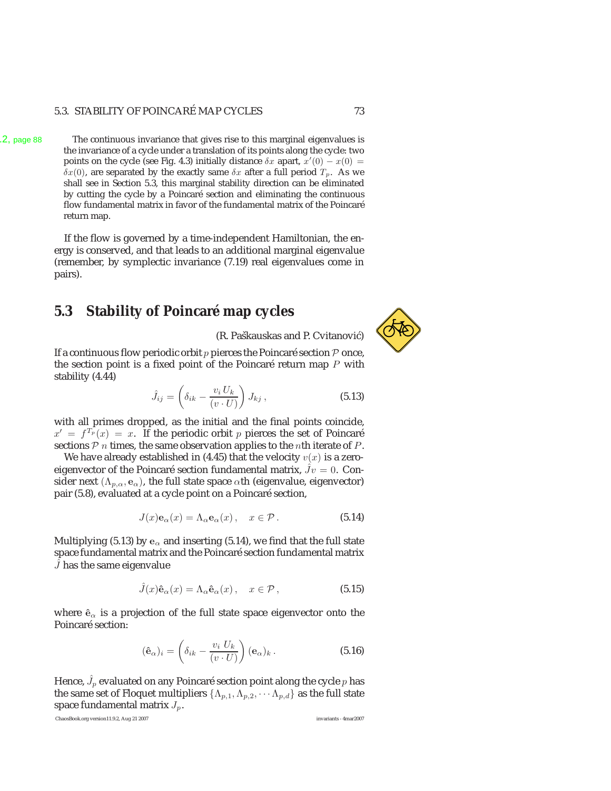#### 5.3. STABILITY OF POINCARÉ MAP CYCLES 73

6.2, page 88 The continuous invariance that gives rise to this marginal eigenvalues is the invariance of a cycle under a translation of its points along the cycle: two points on the cycle (see Fig. 4.3) initially distance  $\delta x$  apart,  $x'(0) - x(0) =$ <br> $\delta x(0)$  are senarated by the exactly same  $\delta x$  after a full period  $T$ . As we  $\delta x(0)$ , are separated by the exactly same  $\delta x$  after a full period  $T_p$ . As we shall see in Section 5.3, this marginal stability direction can be eliminated by cutting the cycle by a Poincaré section and eliminating the continuous flow fundamental matrix in favor of the fundamental matrix of the Poincaré return map.

> If the flow is governed by a time-independent Hamiltonian, the energy is conserved, and that leads to an additional marginal eigenvalue (remember, by symplectic invariance (7.19) real eigenvalues come in pairs).

# **5.3 Stability of Poincaré map cycles**

(R. Paškauskas and P. Cvitanović)

If a continuous flow periodic orbit  $p$  pierces the Poincaré section  $P$  once, the section point is a fixed point of the Poincaré return map  $P$  with stability (4.44)

$$
\hat{J}_{ij} = \left(\delta_{ik} - \frac{v_i U_k}{(v \cdot U)}\right) J_{kj},\tag{5.13}
$$

with all primes dropped, as the initial and the final points coincide,  $x' = f^{T_p}(x) = x$ . If the periodic orbit p pierces the set of Poincaré sections  $P$  *n* times, the same observation applies to the *n*th iterate of  $P$ .

We have already established in (4.45) that the velocity  $v(x)$  is a zeroeigenvector of the Poincaré section fundamental matrix,  $Jv = 0$ . Consider next ( $\Lambda_{p,\alpha}$ ,  $e_{\alpha}$ ), the full state space  $\alpha$ th (eigenvalue, eigenvector) pair (5.8), evaluated at a cycle point on a Poincaré section,

$$
J(x)\mathbf{e}_{\alpha}(x) = \Lambda_{\alpha}\mathbf{e}_{\alpha}(x), \quad x \in \mathcal{P}.
$$
 (5.14)

Multiplying (5.13) by  $e_\alpha$  and inserting (5.14), we find that the full state space fundamental matrix and the Poincaré section fundamental matrix  $\hat{J}$  has the same eigenvalue

$$
\hat{J}(x)\hat{\mathbf{e}}_{\alpha}(x) = \Lambda_{\alpha}\hat{\mathbf{e}}_{\alpha}(x), \quad x \in \mathcal{P}, \tag{5.15}
$$

where  $\hat{\mathbf{e}}_{\alpha}$  is a projection of the full state space eigenvector onto the Poincaré section:

$$
(\hat{\mathbf{e}}_{\alpha})_i = \left(\delta_{ik} - \frac{v_i U_k}{(v \cdot U)}\right) (\mathbf{e}_{\alpha})_k.
$$
\n(5.16)

Hence,  $\hat{J}_p$  evaluated on any Poincaré section point along the cycle  $p$  has the same set of Floquet multipliers  $\{\Lambda_{p,1},\Lambda_{p,2},\cdots,\Lambda_{p,d}\}\$ as the full state space fundamental matrix  $J_p$ .

ChaosBook.org version11.9.2, Aug 21 2007 invariants - 4mar2007

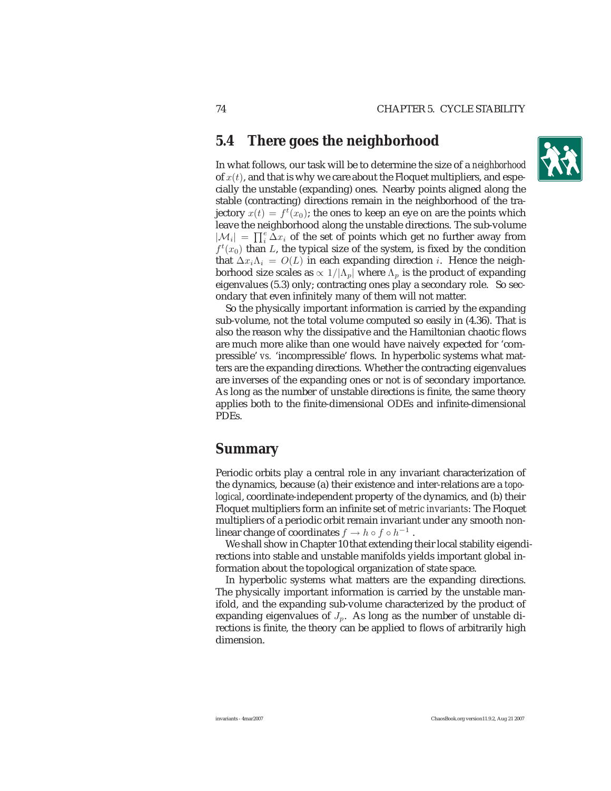# **5.4 There goes the neighborhood**

In what follows, our task will be to determine the size of a *neighborhood* of  $x(t)$ , and that is why we care about the Floquet multipliers, and especially the unstable (expanding) ones. Nearby points aligned along the stable (contracting) directions remain in the neighborhood of the trajectory  $x(t) = f^t(x_0)$ ; the ones to keep an eye on are the points which leave the neighborhood along the unstable directions. The sub-volume  $|M_i| = \prod_i^e \Delta x_i$  of the set of points which get no further away from  $f^t(x_0)$  than L, the typical size of the system, is fixed by the condition that  $\Delta x_i \Lambda_i = O(L)$  in each expanding direction *i*. Hence the neighborhood size scales as  $\propto 1/|\Lambda_p|$  where  $\Lambda_p$  is the product of expanding eigenvalues (5.3) only; contracting ones play a secondary role. So secondary that even infinitely many of them will not matter.

So the physically important information is carried by the expanding sub-volume, not the total volume computed so easily in (4.36). That is also the reason why the dissipative and the Hamiltonian chaotic flows are much more alike than one would have naively expected for 'compressible' *vs.* 'incompressible' flows. In hyperbolic systems what matters are the expanding directions. Whether the contracting eigenvalues are inverses of the expanding ones or not is of secondary importance. As long as the number of unstable directions is finite, the same theory applies both to the finite-dimensional ODEs and infinite-dimensional PDEs.

# **Summary**

Periodic orbits play a central role in any invariant characterization of the dynamics, because (a) their existence and inter-relations are a *topological*, coordinate-independent property of the dynamics, and (b) their Floquet multipliers form an infinite set of *metric invariants*: The Floquet multipliers of a periodic orbit remain invariant under any smooth nonlinear change of coordinates  $f \to h \circ f \circ h^{-1}$ .

We shall show in Chapter 10 that extending their local stability eigendirections into stable and unstable manifolds yields important global information about the topological organization of state space.

In hyperbolic systems what matters are the expanding directions. The physically important information is carried by the unstable manifold, and the expanding sub-volume characterized by the product of expanding eigenvalues of  $J_p$ . As long as the number of unstable directions is finite, the theory can be applied to flows of arbitrarily high dimension.